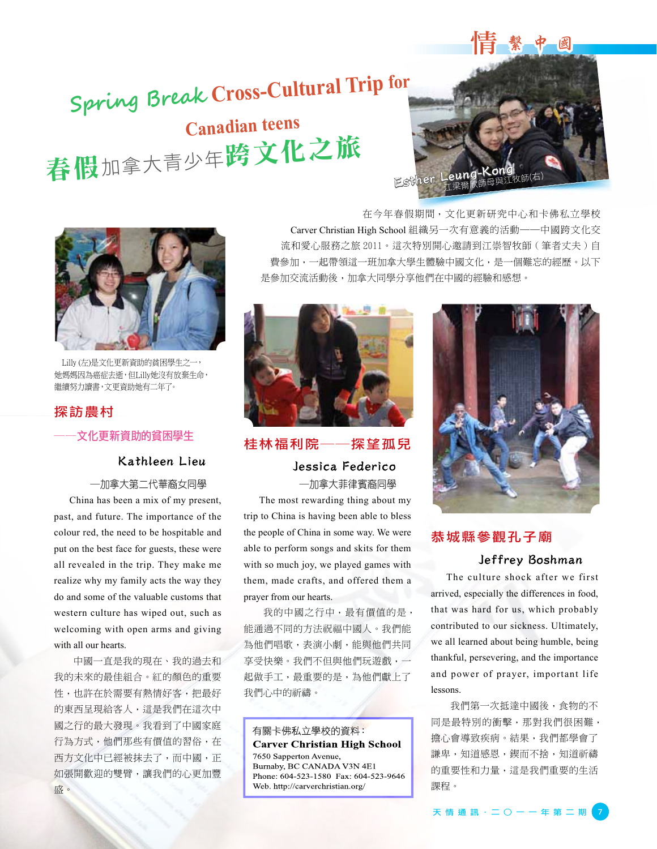# 情繁中國

# **Spring Break Cross-Cultural Trip for Canadian teens**  春假加拿大青少年跨文化之旅





 Lilly (左)是文化更新資助的貧困學生之一, 她媽媽因為癌症去逝,但Lilly她沒有放棄生命, 繼續努力讀書,文更資助她有二年了。

# 探訪農村

### 文化更新資助的貧困學生

### Kathleen Lieu

#### ─加拿大第二代華裔女同學

China has been a mix of my present, past, and future. The importance of the colour red, the need to be hospitable and put on the best face for guests, these were all revealed in the trip. They make me realize why my family acts the way they do and some of the valuable customs that western culture has wiped out, such as welcoming with open arms and giving with all our hearts.

中國一直是我的現在、我的過去和 我的未來的最佳組合。紅的顏色的重要 性,也許在於需要有熱情好客,把最好 的東西呈現給客人,這是我們在這次中 國之行的最大發現。我看到了中國家庭 行為方式,他們那些有價值的習俗,在 西方文化中已經被抹去了,而中國,正 如張開歡迎的雙臂,讓我們的心更加豐 盛。

在今年春假期間,文化更新研究中心和卡佛私立學校 Carver Christian High School 組織另一次有意義的活動──中國跨文化交 流和愛心服務之旅 2011。這次特別開心邀請到江崇智牧師 ( 筆者丈夫 ) 自 費參加,一起帶領這一班加拿大學生體驗中國文化,是一個難忘的經歷。以下 是參加交流活動後,加拿大同學分享他們在中國的經驗和感想。



### 桂林福利院──探望孤兒

Jessica Federico ─加拿大菲律賓裔同學

The most rewarding thing about my trip to China is having been able to bless the people of China in some way. We were able to perform songs and skits for them with so much joy, we played games with them, made crafts, and offered them a prayer from our hearts.

我的中國之行中,最有價值的是, 能通過不同的方法祝福中國人。我們能 為他們唱歌,表演小劇,能與他們共同 享受快樂。我們不但與他們玩遊戲,一 起做手工,最重要的是,為他們獻上了 我們心中的祈禱。

有關卡佛私立學校的資料: **Carver Christian High School** 7650 Sapperton Avenue, Burnaby, BC CANADA V3N 4E1 Phone: 604-523-1580 Fax: 604-523-9646 Web. http://carverchristian.org/



### 恭城縣參觀孔子廟

### Jeffrey Boshman

The culture shock after we first arrived, especially the differences in food, that was hard for us, which probably contributed to our sickness. Ultimately, we all learned about being humble, being thankful, persevering, and the importance and power of prayer, important life lessons.

我們第一次抵達中國後,食物的不 同是最特別的衝擊,那對我們很困難, 擔心會導致疾病。結果,我們都學會了 謙卑,知道感恩, 鍥而不捨, 知道祈禱 的重要性和力量,這是我們重要的生活 課程。

天 情 通 訊 · 二 〇 一 一 年 第 二 期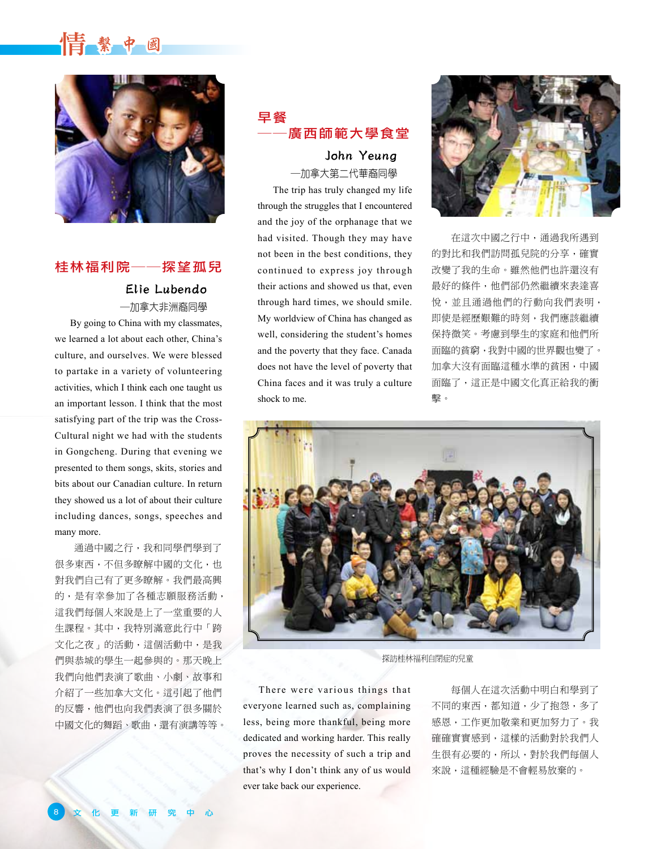# 情 繫 中 國



# 桂林福利院──探望孤兒

### Elie Lubendo ─加拿大非洲裔同學

By going to China with my classmates, we learned a lot about each other, China's culture, and ourselves. We were blessed to partake in a variety of volunteering activities, which I think each one taught us an important lesson. I think that the most satisfying part of the trip was the Cross-Cultural night we had with the students in Gongcheng. During that evening we presented to them songs, skits, stories and bits about our Canadian culture. In return they showed us a lot of about their culture including dances, songs, speeches and many more.

通過中國之行,我和同學們學到了 很多東西,不但多瞭解中國的文化,也 對我們自己有了更多瞭解。我們最高興 的,是有幸參加了各種志願服務活動, 這我們每個人來說是上了一堂重要的人 生課程。其中,我特別滿意此行中「跨 文化之夜」的活動,這個活動中,是我 們與恭城的學生一起參與的。那天晚上 我們向他們表演了歌曲、小劇、故事和 介紹了一些加拿大文化。這引起了他們 的反響,他們也向我們表演了很多關於 中國文化的舞蹈、歌曲,還有演講等等。

# 早餐 ──廣西師範大學食堂

John Yeung ─加拿大第二代華裔同學

The trip has truly changed my life through the struggles that I encountered and the joy of the orphanage that we had visited. Though they may have not been in the best conditions, they continued to express joy through their actions and showed us that, even through hard times, we should smile. My worldview of China has changed as well, considering the student's homes and the poverty that they face. Canada does not have the level of poverty that China faces and it was truly a culture shock to me.



在這次中國之行中,通過我所遇到 的對比和我們訪問孤兒院的分享,確實 改變了我的生命。雖然他們也許還沒有 最好的條件,他們郤仍然繼續來表達喜 悅,並且通過他們的行動向我們表明, 即使是經歷艱難的時刻,我們應該繼續 保持微笑。考慮到學生的家庭和他們所 面臨的貧窮,我對中國的世界觀也變了。 加拿大沒有面臨這種水準的貧困,中國 面臨了,這正是中國文化真正給我的衝 擊。



探訪桂林福利自閉症的兒童

There were various things that everyone learned such as, complaining less, being more thankful, being more dedicated and working harder. This really proves the necessity of such a trip and that's why I don't think any of us would ever take back our experience.

每個人在這次活動中明白和學到了 不同的東西,都知道,少了抱怨,多了 感恩,工作更加敬業和更加努力了。我 確確實實感到,這樣的活動對於我們人 生很有必要的,所以,對於我們每個人 來說,這種經驗是不會輕易放棄的。

8 文 化 更 新 研 究 中 心